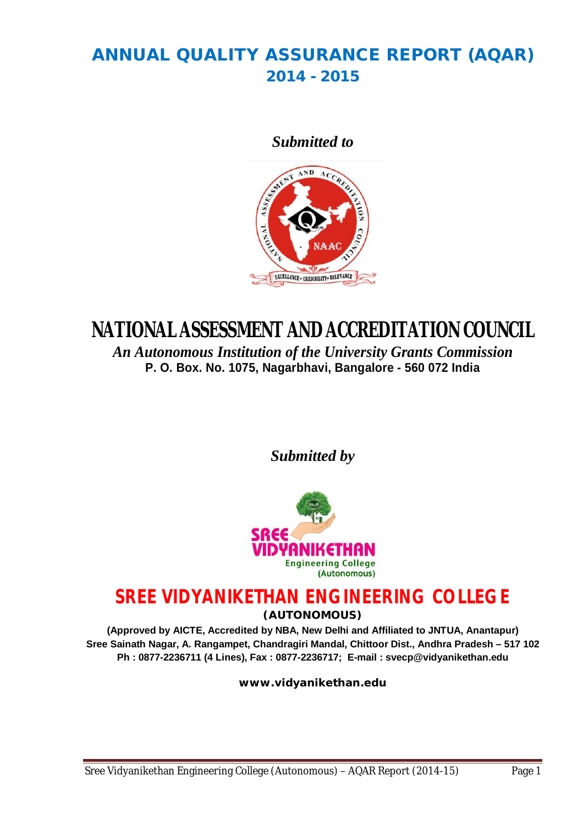# **ANNUAL QUALITY ASSURANCE REPORT (AQAR) 2014 - 2015**

*Submitted to*



# **NATIONAL ASSESSMENT AND ACCREDITATION COUNCIL**

*An Autonomous Institution of the University Grants Commission* **P. O. Box. No. 1075, Nagarbhavi, Bangalore - 560 072 India**

*Submitted by*



# **SREE VIDYANIKETHAN ENGINEERING COLLEGE**

**(AUTONOMOUS)**

**(Approved by AICTE, Accredited by NBA, New Delhi and Affiliated to JNTUA, Anantapur) Sree Sainath Nagar, A. Rangampet, Chandragiri Mandal, Chittoor Dist., Andhra Pradesh – 517 102 Ph : 0877-2236711 (4 Lines), Fax : 0877-2236717; E-mail : svecp@vidyanikethan.edu**

**www.vidyanikethan.edu**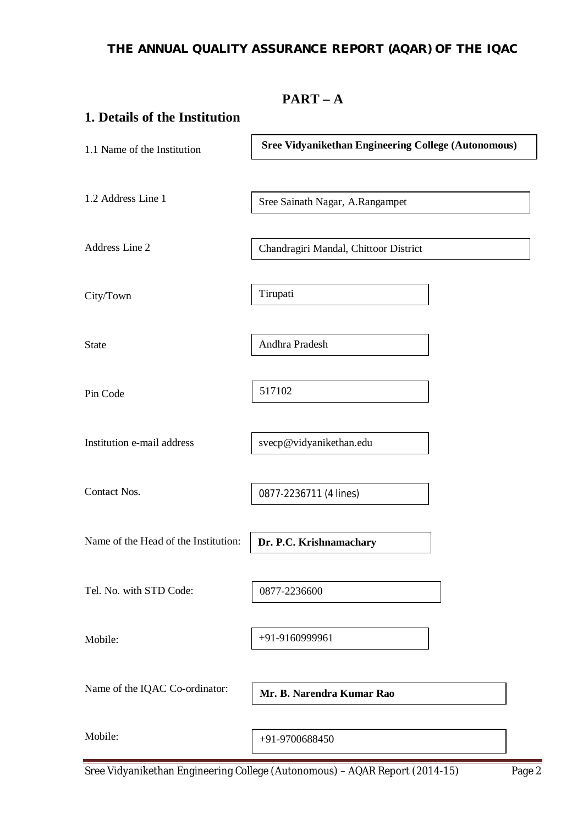# **THE ANNUAL QUALITY ASSURANCE REPORT (AQAR) OF THE IQAC**

|                                      | $PART - A$                                                 |
|--------------------------------------|------------------------------------------------------------|
| 1. Details of the Institution        |                                                            |
| 1.1 Name of the Institution          | <b>Sree Vidyanikethan Engineering College (Autonomous)</b> |
| 1.2 Address Line 1                   | Sree Sainath Nagar, A.Rangampet                            |
| Address Line 2                       | Chandragiri Mandal, Chittoor District                      |
| City/Town                            | Tirupati                                                   |
| <b>State</b>                         | Andhra Pradesh                                             |
| Pin Code                             | 517102                                                     |
| Institution e-mail address           | svecp@vidyanikethan.edu                                    |
| Contact Nos.                         | 0877-2236711 (4 lines)                                     |
| Name of the Head of the Institution: | Dr. P.C. Krishnamachary                                    |
| Tel. No. with STD Code:              | 0877-2236600                                               |
| Mobile:                              | +91-9160999961                                             |
| Name of the IQAC Co-ordinator:       | Mr. B. Narendra Kumar Rao                                  |
| Mobile:                              | +91-9700688450                                             |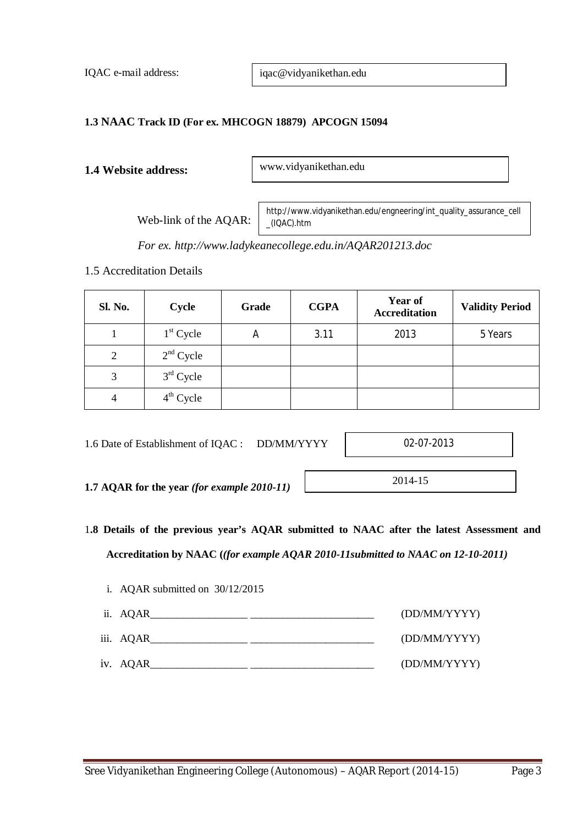IQAC e-mail address:

iqac@vidyanikethan.edu

# **1.3 NAAC Track ID (For ex. MHCOGN 18879) APCOGN 15094**

# **1.4 Website address:**

www.vidyanikethan.edu

Web-link of the AQAR:

http://www.vidyanikethan.edu/engneering/int\_quality\_assurance\_cell \_(IQAC).htm

*For ex. http://www.ladykeanecollege.edu.in/AQAR201213.doc*

# 1.5 Accreditation Details

| Sl. No.        | Cycle       | Grade | <b>CGPA</b> | <b>Year of</b><br><b>Accreditation</b> | <b>Validity Period</b> |
|----------------|-------------|-------|-------------|----------------------------------------|------------------------|
|                | $1st$ Cycle | A     | 3.11        | 2013                                   | 5 Years                |
| $\overline{2}$ | $2nd$ Cycle |       |             |                                        |                        |
| 3              | $3rd$ Cycle |       |             |                                        |                        |
| $\overline{4}$ | $4th$ Cycle |       |             |                                        |                        |

1.6 Date of Establishment of IQAC : DD/MM/YYYY

02-07-2013

2014-15

**1.7 AQAR for the year** *(for example 2010-11)*

i. AQAR submitted on 30/12/2015

- 1**.8 Details of the previous year's AQAR submitted to NAAC after the latest Assessment and Accreditation by NAAC (***(for example AQAR 2010-11submitted to NAAC on 12-10-2011)*
	- ii. AQAR\_\_\_\_\_\_\_\_\_\_\_\_\_\_\_\_\_\_ \_\_\_\_\_\_\_\_\_\_\_\_\_\_\_\_\_\_\_\_\_\_\_ (DD/MM/YYYY) iii. AQAR\_\_\_\_\_\_\_\_\_\_\_\_\_\_\_\_\_\_ \_\_\_\_\_\_\_\_\_\_\_\_\_\_\_\_\_\_\_\_\_\_\_ (DD/MM/YYYY) iv. AQAR\_\_\_\_\_\_\_\_\_\_\_\_\_\_\_\_\_\_ \_\_\_\_\_\_\_\_\_\_\_\_\_\_\_\_\_\_\_\_\_\_\_ (DD/MM/YYYY)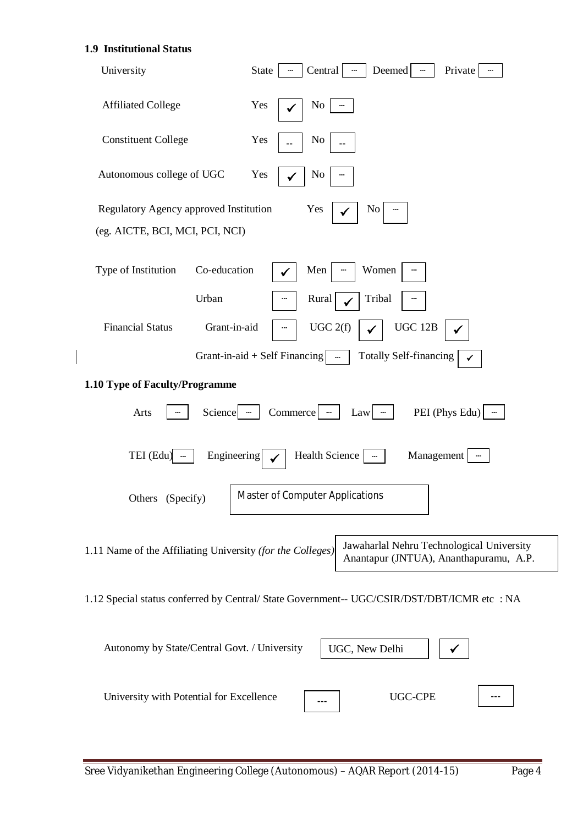## **1.9 Institutional Status**

 $\overline{\phantom{a}}$ 

| University                                                 | Central<br>State<br>Deemed<br>Private<br>---<br>                                            |
|------------------------------------------------------------|---------------------------------------------------------------------------------------------|
| <b>Affiliated College</b>                                  | Yes<br>No                                                                                   |
| <b>Constituent College</b>                                 | Yes<br>No                                                                                   |
| Autonomous college of UGC                                  | Yes<br>N <sub>o</sub>                                                                       |
| Regulatory Agency approved Institution                     | Yes<br>No                                                                                   |
| (eg. AICTE, BCI, MCI, PCI, NCI)                            |                                                                                             |
| Type of Institution<br>Co-education                        | Women<br>Men                                                                                |
| Urban                                                      | Rural<br>Tribal                                                                             |
| <b>Financial Status</b><br>Grant-in-aid                    | UGC 2(f)<br><b>UGC 12B</b>                                                                  |
|                                                            | Grant-in-aid + Self Financing $\sqrt{\phantom{a}}$<br><b>Totally Self-financing</b>         |
|                                                            |                                                                                             |
| 1.10 Type of Faculty/Programme                             |                                                                                             |
| Science $\vert$ $\Vert$<br>Arts                            | PEI (Phys Edu)<br>Commerce —<br>Law<br>$\sim$                                               |
| TEI (Edu)<br>Engineering                                   | Health Science<br>Management                                                                |
| Others (Specify)                                           | Master of Computer Applications                                                             |
| 1.11 Name of the Affiliating University (for the Colleges) | Jawaharlal Nehru Technological University<br>Anantapur (JNTUA), Ananthapuramu, A.P.         |
|                                                            | 1.12 Special status conferred by Central/ State Government-- UGC/CSIR/DST/DBT/ICMR etc : NA |
| Autonomy by State/Central Govt. / University               | UGC, New Delhi                                                                              |
| University with Potential for Excellence                   | UGC-CPE                                                                                     |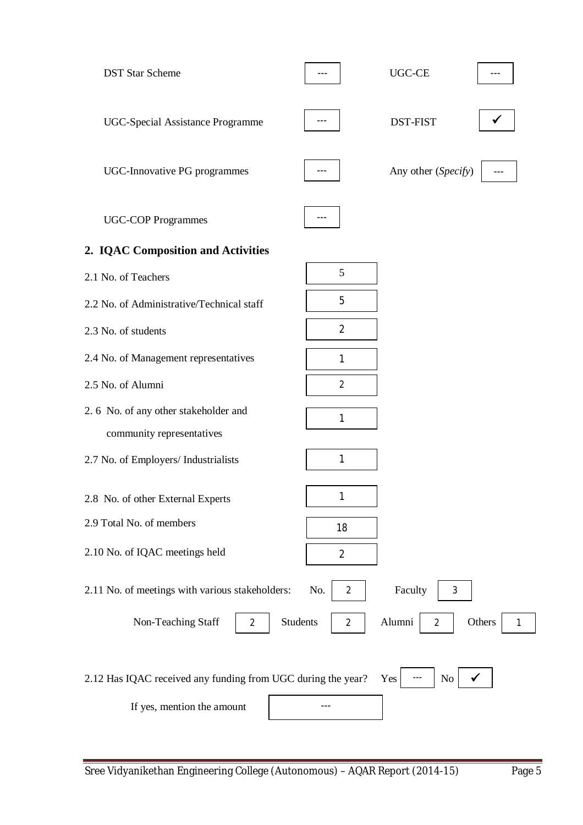| <b>DST Star Scheme</b>                                       |                                   | UGC-CE                                  |
|--------------------------------------------------------------|-----------------------------------|-----------------------------------------|
| <b>UGC-Special Assistance Programme</b>                      |                                   | <b>DST-FIST</b>                         |
| UGC-Innovative PG programmes                                 |                                   | Any other (Specify)                     |
| <b>UGC-COP Programmes</b>                                    |                                   |                                         |
| 2. IQAC Composition and Activities                           |                                   |                                         |
| 2.1 No. of Teachers                                          | 5                                 |                                         |
| 2.2 No. of Administrative/Technical staff                    | 5                                 |                                         |
| 2.3 No. of students                                          | $\overline{2}$                    |                                         |
| 2.4 No. of Management representatives                        | 1                                 |                                         |
| 2.5 No. of Alumni                                            | $\overline{2}$                    |                                         |
| 2.6 No. of any other stakeholder and                         | 1                                 |                                         |
| community representatives                                    |                                   |                                         |
| 2.7 No. of Employers/ Industrialists                         | 1                                 |                                         |
| 2.8 No. of other External Experts                            |                                   |                                         |
| 2.9 Total No. of members                                     | 18                                |                                         |
| 2.10 No. of IQAC meetings held                               | $\overline{2}$                    |                                         |
| 2.11 No. of meetings with various stakeholders:              | No.<br>$\overline{2}$             | Faculty<br>3                            |
| Non-Teaching Staff<br>$\overline{2}$                         | <b>Students</b><br>$\overline{2}$ | Alumni<br>Others<br>$\overline{2}$<br>1 |
| 2.12 Has IQAC received any funding from UGC during the year? |                                   | No<br>Yes                               |
| If yes, mention the amount                                   |                                   |                                         |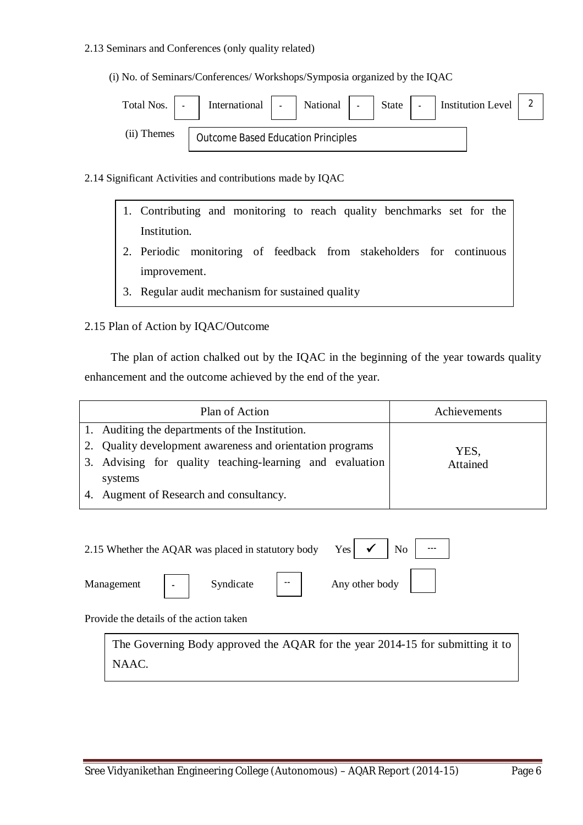# 2.13 Seminars and Conferences (only quality related)

(i) No. of Seminars/Conferences/ Workshops/Symposia organized by the IQAC

| Total Nos.  | International                             | National | $\overline{\phantom{a}}$ | State | Institution Level   2 |  |
|-------------|-------------------------------------------|----------|--------------------------|-------|-----------------------|--|
| (ii) Themes | <b>Outcome Based Education Principles</b> |          |                          |       |                       |  |

- 2.14 Significant Activities and contributions made by IQAC
	- 1. Contributing and monitoring to reach quality benchmarks set for the Institution.
	- 2. Periodic monitoring of feedback from stakeholders for continuous improvement.
	- 3. Regular audit mechanism for sustained quality

# 2.15 Plan of Action by IQAC/Outcome

 The plan of action chalked out by the IQAC in the beginning of the year towards quality enhancement and the outcome achieved by the end of the year.

| Plan of Action                                               | Achievements |
|--------------------------------------------------------------|--------------|
| 1. Auditing the departments of the Institution.              |              |
| Quality development awareness and orientation programs<br>2. | YES,         |
| 3. Advising for quality teaching-learning and evaluation     | Attained     |
| systems                                                      |              |
| Augment of Research and consultancy.<br>4.                   |              |

|            | 2.15 Whether the AQAR was placed in statutory body |      | Yes |                |  |  |
|------------|----------------------------------------------------|------|-----|----------------|--|--|
| Management | Syndicate                                          | $ -$ |     | Any other body |  |  |

Provide the details of the action taken

The Governing Body approved the AQAR for the year 2014-15 for submitting it to NAAC.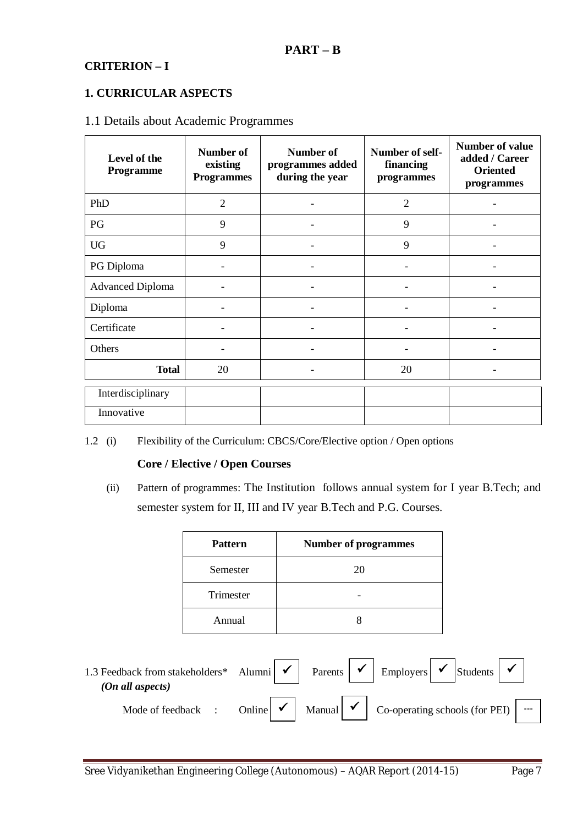# **CRITERION – I**

# **1. CURRICULAR ASPECTS**

# 1.1 Details about Academic Programmes

| Level of the<br>Programme | Number of<br>existing<br><b>Programmes</b> | <b>Number of</b><br>programmes added<br>during the year | Number of self-<br>financing<br>programmes | <b>Number of value</b><br>added / Career<br><b>Oriented</b><br>programmes |
|---------------------------|--------------------------------------------|---------------------------------------------------------|--------------------------------------------|---------------------------------------------------------------------------|
| PhD                       | $\overline{2}$                             |                                                         | $\overline{2}$                             |                                                                           |
| PG                        | 9                                          |                                                         | 9                                          |                                                                           |
| <b>UG</b>                 | 9                                          |                                                         | 9                                          |                                                                           |
| PG Diploma                |                                            |                                                         |                                            |                                                                           |
| <b>Advanced Diploma</b>   |                                            |                                                         |                                            |                                                                           |
| Diploma                   |                                            |                                                         |                                            |                                                                           |
| Certificate               |                                            |                                                         |                                            |                                                                           |
| Others                    |                                            |                                                         |                                            |                                                                           |
| <b>Total</b>              | 20                                         |                                                         | 20                                         |                                                                           |
| Interdisciplinary         |                                            |                                                         |                                            |                                                                           |
| Innovative                |                                            |                                                         |                                            |                                                                           |

1.2 (i) Flexibility of the Curriculum: CBCS/Core/Elective option / Open options

# **Core / Elective / Open Courses**

 (ii) Pattern of programmes: The Institution follows annual system for I year B.Tech; and semester system for II, III and IV year B.Tech and P.G. Courses.

|                                                            | <b>Pattern</b> | <b>Number of programmes</b>             |                                                                      |
|------------------------------------------------------------|----------------|-----------------------------------------|----------------------------------------------------------------------|
|                                                            | Semester       | 20                                      |                                                                      |
|                                                            | Trimester      |                                         |                                                                      |
|                                                            | Annual         | 8                                       |                                                                      |
| 1.3 Feedback from stakeholders* Alumni<br>(On all aspects) |                | $\checkmark$<br>$\checkmark$<br>Parents | Employers $\vert \checkmark \vert$ Students $\vert \checkmark \vert$ |
| Mode of feedback :                                         | Online         | Manual                                  | Co-operating schools (for PEI)                                       |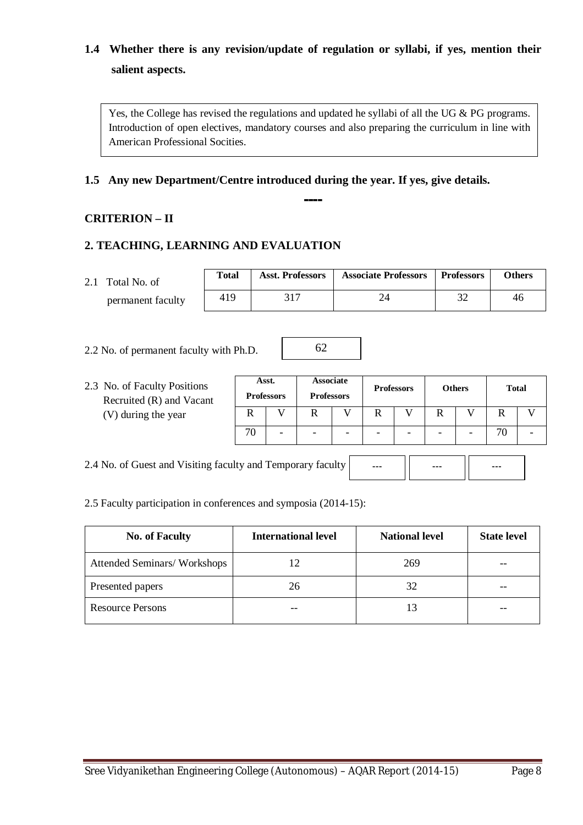# **1.4 Whether there is any revision/update of regulation or syllabi, if yes, mention their salient aspects.**

Yes, the College has revised the regulations and updated he syllabi of all the UG & PG programs. Introduction of open electives, mandatory courses and also preparing the curriculum in line with American Professional Socities.

# **1.5 Any new Department/Centre introduced during the year. If yes, give details.**

# **CRITERION – II**

# **2. TEACHING, LEARNING AND EVALUATION**

| 2.1 Total No. of  | <b>Total</b> | <b>Asst. Professors</b> | <b>Associate Professors</b> | <b>Professors</b> | <b>Others</b> |
|-------------------|--------------|-------------------------|-----------------------------|-------------------|---------------|
| permanent faculty | 419          |                         | $2^{\prime}$                | ົາ                | 46            |

62

**----**

- 2.2 No. of permanent faculty with Ph.D.
- 2.3 No. of Faculty Positions Recruited (R) and Vacant (V) during the year

|             | Asst.<br><b>Professors</b> | <b>Associate</b><br><b>Professors</b> | <b>Professors</b> |   | <b>Others</b> |   | <b>Total</b> |  |  |
|-------------|----------------------------|---------------------------------------|-------------------|---|---------------|---|--------------|--|--|
| $\mathbf R$ |                            |                                       |                   | R |               | R |              |  |  |
| 70          |                            |                                       |                   |   | -             |   |              |  |  |

---

2.4 No. of Guest and Visiting faculty and Temporary faculty

--- ---

# 2.5 Faculty participation in conferences and symposia (2014-15):

| <b>No. of Faculty</b>              | <b>International level</b> | <b>National level</b> | <b>State level</b> |
|------------------------------------|----------------------------|-----------------------|--------------------|
| <b>Attended Seminars/Workshops</b> | 12                         | 269                   |                    |
| Presented papers                   | 26                         | 32                    |                    |
| <b>Resource Persons</b>            | --                         |                       |                    |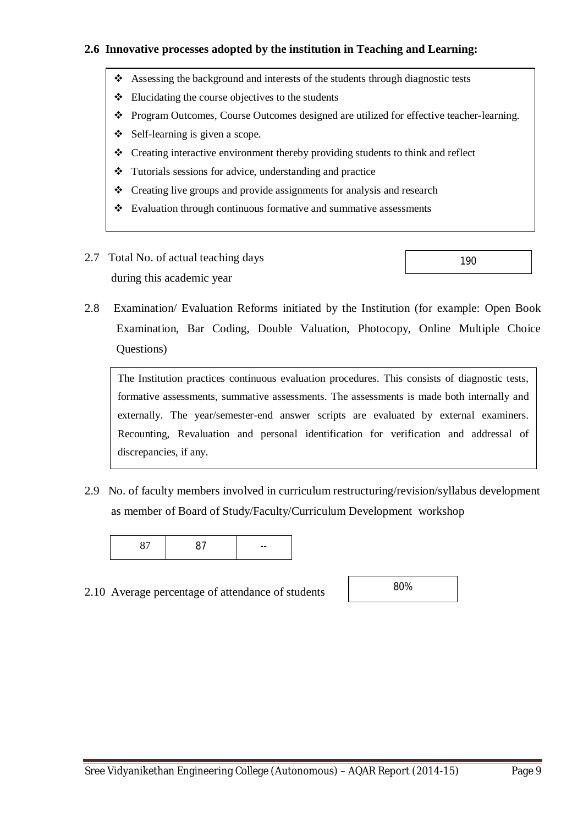# **2.6 Innovative processes adopted by the institution in Teaching and Learning:**

- Assessing the background and interests of the students through diagnostic tests
- $\triangle$  Elucidating the course objectives to the students
- Program Outcomes, Course Outcomes designed are utilized for effective teacher-learning.
- $\div$  Self-learning is given a scope.
- Creating interactive environment thereby providing students to think and reflect
- Tutorials sessions for advice, understanding and practice
- Creating live groups and provide assignments for analysis and research
- $\triangleleft$  Evaluation through continuous formative and summative assessments
- 2.7 Total No. of actual teaching days during this academic year



2.8 Examination/ Evaluation Reforms initiated by the Institution (for example: Open Book Examination, Bar Coding, Double Valuation, Photocopy, Online Multiple Choice Questions)

The Institution practices continuous evaluation procedures. This consists of diagnostic tests, formative assessments, summative assessments. The assessments is made both internally and externally. The year/semester-end answer scripts are evaluated by external examiners. Recounting, Revaluation and personal identification for verification and addressal of discrepancies, if any.

2.9 No. of faculty members involved in curriculum restructuring/revision/syllabus development as member of Board of Study/Faculty/Curriculum Development workshop

|--|--|

2.10 Average percentage of attendance of students

80%

Sree Vidyanikethan Engineering College (Autonomous) – AQAR Report (2014-15) Page 9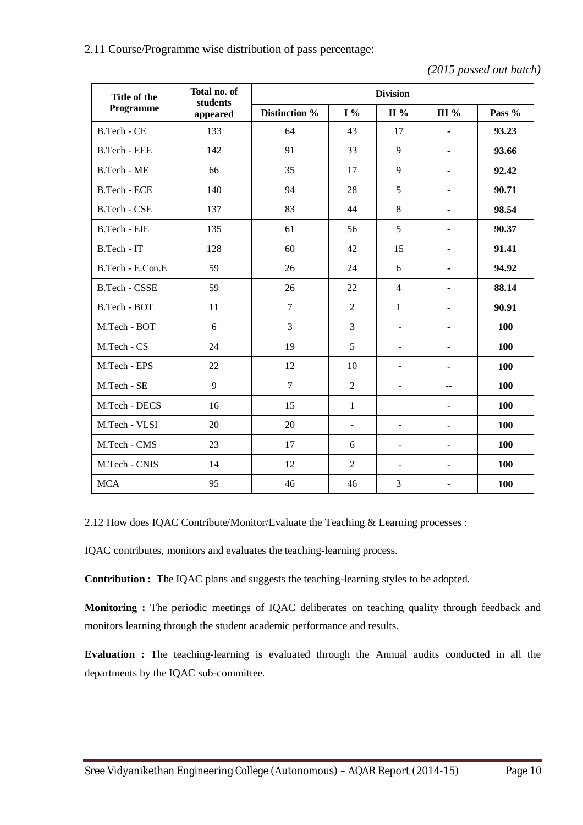2.11 Course/Programme wise distribution of pass percentage:

| Title of the         | Total no. of<br>students |                |                          | <b>Division</b>          |               |            |
|----------------------|--------------------------|----------------|--------------------------|--------------------------|---------------|------------|
| Programme            | appeared                 | Distinction %  | $I\%$                    | II %                     | III $%$       | Pass %     |
| B.Tech - CE          | 133                      | 64             | 43                       | 17                       |               | 93.23      |
| <b>B.Tech - EEE</b>  | 142                      | 91             | 33                       | 9                        | ä,            | 93.66      |
| B.Tech - ME          | 66                       | 35             | 17                       | 9                        | $\frac{1}{2}$ | 92.42      |
| B.Tech - ECE         | 140                      | 94             | 28                       | 5                        | ٠             | 90.71      |
| <b>B.Tech - CSE</b>  | 137                      | 83             | 44                       | 8                        | ۰             | 98.54      |
| B.Tech - EIE         | 135                      | 61             | 56                       | 5                        | ۰             | 90.37      |
| B.Tech - IT          | 128                      | 60             | 42                       | 15                       | $\frac{1}{2}$ | 91.41      |
| B.Tech - E.Con.E     | 59                       | 26             | 24                       | 6                        | Ξ.            | 94.92      |
| <b>B.Tech - CSSE</b> | 59                       | 26             | 22                       | $\overline{4}$           |               | 88.14      |
| B.Tech - BOT         | 11                       | $\overline{7}$ | $\overline{2}$           | 1                        | ٠             | 90.91      |
| M.Tech - BOT         | 6                        | 3              | 3                        | $\blacksquare$           |               | 100        |
| M.Tech - CS          | 24                       | 19             | 5                        | $\overline{a}$           | ä,            | 100        |
| M.Tech - EPS         | 22                       | 12             | 10                       | $\overline{a}$           | ä,            | 100        |
| M.Tech - SE          | 9                        | $\overline{7}$ | $\overline{2}$           | $\overline{\phantom{a}}$ | --            | 100        |
| M.Tech - DECS        | 16                       | 15             | $\mathbf{1}$             |                          | Ξ.            | <b>100</b> |
| M.Tech - VLSI        | 20                       | 20             | $\overline{\phantom{a}}$ | $\overline{\phantom{a}}$ | $\frac{1}{2}$ | 100        |
| M.Tech - CMS         | 23                       | 17             | 6                        | $\overline{\phantom{a}}$ | ٠             | 100        |
| M.Tech - CNIS        | 14                       | 12             | $\overline{2}$           | $\overline{\phantom{a}}$ |               | 100        |
| <b>MCA</b>           | 95                       | 46             | 46                       | 3                        |               | 100        |

2.12 How does IQAC Contribute/Monitor/Evaluate the Teaching & Learning processes :

IQAC contributes, monitors and evaluates the teaching-learning process.

**Contribution :** The IQAC plans and suggests the teaching-learning styles to be adopted.

**Monitoring :** The periodic meetings of IQAC deliberates on teaching quality through feedback and monitors learning through the student academic performance and results.

**Evaluation :** The teaching-learning is evaluated through the Annual audits conducted in all the departments by the IQAC sub-committee.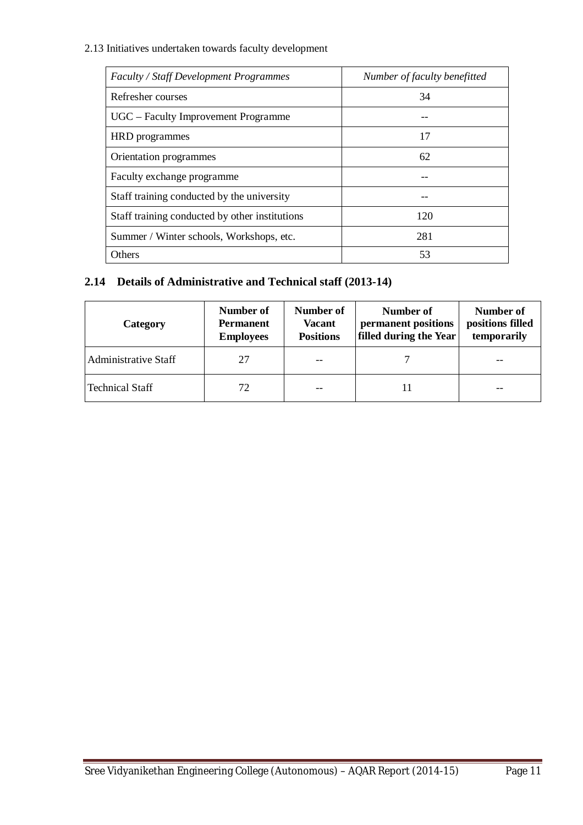2.13 Initiatives undertaken towards faculty development

| <b>Faculty / Staff Development Programmes</b>  | Number of faculty benefitted |
|------------------------------------------------|------------------------------|
| Refresher courses                              | 34                           |
| UGC – Faculty Improvement Programme            |                              |
| HRD programmes                                 | 17                           |
| Orientation programmes                         | 62                           |
| Faculty exchange programme                     |                              |
| Staff training conducted by the university     |                              |
| Staff training conducted by other institutions | 120                          |
| Summer / Winter schools, Workshops, etc.       | 281                          |
| <b>Others</b>                                  | 53                           |

# **2.14 Details of Administrative and Technical staff (2013-14)**

| <b>Category</b>             | Number of<br><b>Permanent</b><br><b>Employees</b> | Number of<br><b>Vacant</b><br><b>Positions</b> | Number of<br>permanent positions<br>filled during the Year | Number of<br>positions filled<br>temporarily |
|-----------------------------|---------------------------------------------------|------------------------------------------------|------------------------------------------------------------|----------------------------------------------|
| <b>Administrative Staff</b> | 27                                                |                                                |                                                            |                                              |
| <b>Technical Staff</b>      | 72                                                | $- -$                                          |                                                            |                                              |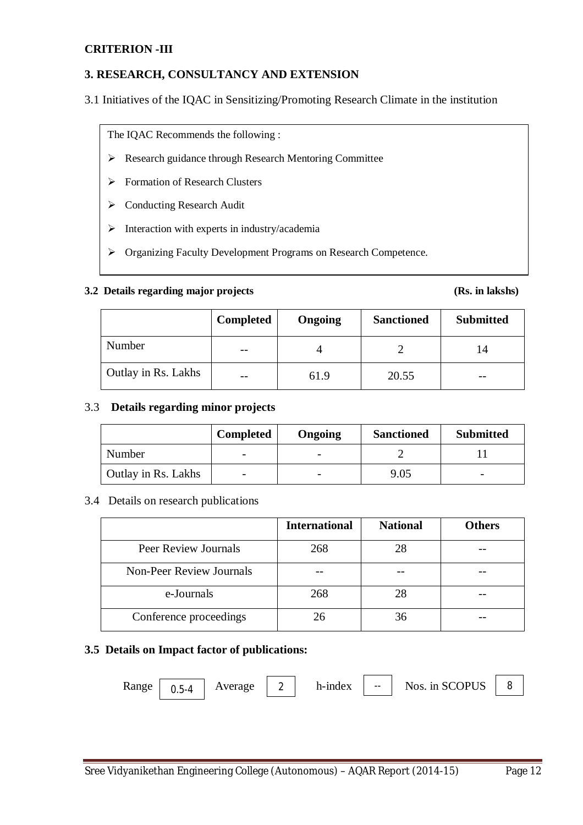# **CRITERION -III**

# **3. RESEARCH, CONSULTANCY AND EXTENSION**

3.1 Initiatives of the IQAC in Sensitizing/Promoting Research Climate in the institution

The IQAC Recommends the following :

- $\triangleright$  Research guidance through Research Mentoring Committee
- $\triangleright$  Formation of Research Clusters
- Conducting Research Audit
- $\triangleright$  Interaction with experts in industry/academia
- Organizing Faculty Development Programs on Research Competence.

# **3.2 Details regarding major projects (Rs. in lakshs)**

|                     | <b>Completed</b> | Ongoing | <b>Sanctioned</b> | <b>Submitted</b> |
|---------------------|------------------|---------|-------------------|------------------|
| Number              | $- -$            |         |                   | 14               |
| Outlay in Rs. Lakhs | $- -$            | 61.9    | 20.55             |                  |

# 3.3 **Details regarding minor projects**

|                     | <b>Completed</b>         | Ongoing | <b>Sanctioned</b> | <b>Submitted</b> |
|---------------------|--------------------------|---------|-------------------|------------------|
| Number              | $\overline{\phantom{0}}$ | -       |                   |                  |
| Outlay in Rs. Lakhs | $\overline{\phantom{0}}$ |         | 9.05              |                  |

# 3.4 Details on research publications

|                                 | <b>International</b> | <b>National</b> | <b>Others</b> |
|---------------------------------|----------------------|-----------------|---------------|
| Peer Review Journals            | 268                  | 28              |               |
| <b>Non-Peer Review Journals</b> |                      |                 |               |
| e-Journals                      | 268                  | 28              |               |
| Conference proceedings          | 26                   | 36              |               |

# **3.5 Details on Impact factor of publications:**

Range  $\begin{array}{|c|c|c|c|c|c|c|c|} \hline \end{array}$  Average  $\begin{array}{|c|c|c|c|c|c|c|c|} \hline \end{array}$  h-index  $\begin{array}{|c|c|c|c|c|c|c|} \hline \end{array}$  Nos. in SCOPUS 8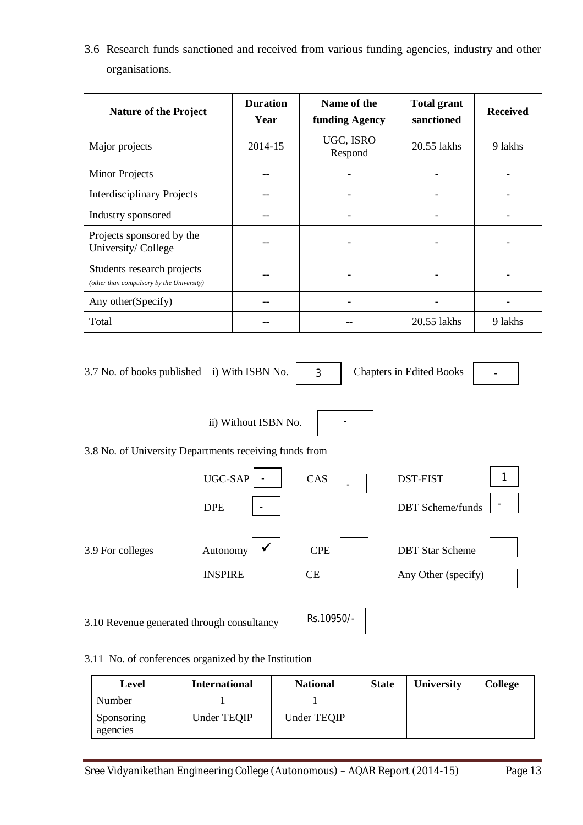| <b>Nature of the Project</b>                                            | <b>Duration</b><br>Year | Name of the<br>funding Agency | <b>Total grant</b><br>sanctioned | <b>Received</b> |
|-------------------------------------------------------------------------|-------------------------|-------------------------------|----------------------------------|-----------------|
| Major projects                                                          | 2014-15                 | UGC, ISRO<br>Respond          | 20.55 lakhs                      | 9 lakhs         |
| <b>Minor Projects</b>                                                   |                         |                               |                                  |                 |
| <b>Interdisciplinary Projects</b>                                       |                         |                               |                                  |                 |
| Industry sponsored                                                      |                         |                               |                                  |                 |
| Projects sponsored by the<br>University/College                         |                         |                               |                                  |                 |
| Students research projects<br>(other than compulsory by the University) |                         |                               |                                  |                 |
| Any other (Specify)                                                     |                         |                               |                                  |                 |
| Total                                                                   |                         |                               | 20.55 lakhs                      | 9 lakhs         |

3.6 Research funds sanctioned and received from various funding agencies, industry and other organisations.

| 3.7 No. of books published i) With ISBN No.            |                      | 3          | <b>Chapters in Edited Books</b> |
|--------------------------------------------------------|----------------------|------------|---------------------------------|
|                                                        | ii) Without ISBN No. |            |                                 |
| 3.8 No. of University Departments receiving funds from |                      |            |                                 |
|                                                        | UGC-SAP              | CAS        | <b>DST-FIST</b>                 |
|                                                        | <b>DPE</b>           |            | <b>DBT</b> Scheme/funds         |
| 3.9 For colleges                                       | Autonomy             | <b>CPE</b> | <b>DBT</b> Star Scheme          |
|                                                        | <b>INSPIRE</b>       | CE         | Any Other (specify)             |
| 3.10 Revenue generated through consultancy             |                      | Rs.10950/- |                                 |

3.11 No. of conferences organized by the Institution

| Level                  | <b>International</b> | <b>National</b> | <b>State</b> | University | <b>College</b> |
|------------------------|----------------------|-----------------|--------------|------------|----------------|
| Number                 |                      |                 |              |            |                |
| Sponsoring<br>agencies | Under TEQIP          | Under TEQIP     |              |            |                |

Sree Vidyanikethan Engineering College (Autonomous) – AQAR Report (2014-15) Page 13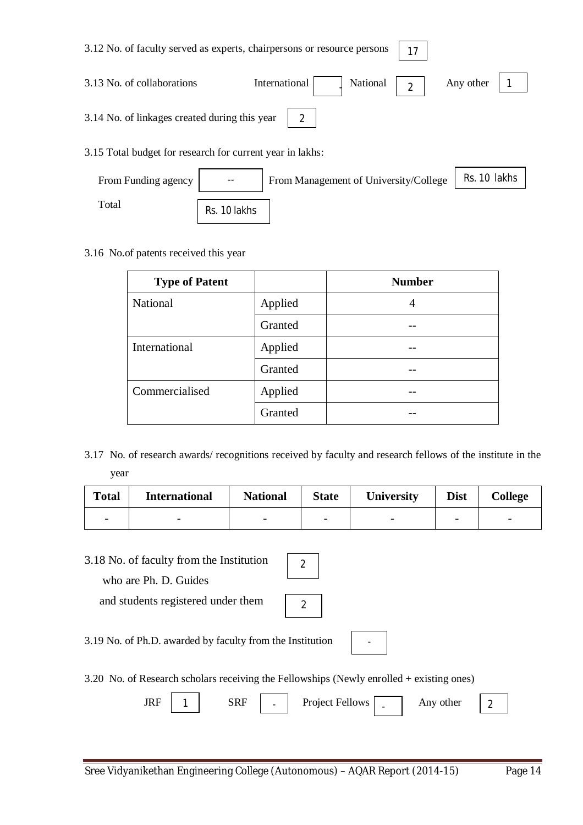| 3.12 No. of faculty served as experts, chairpersons or resource persons<br>17 |  |                                       |                |              |  |  |  |  |
|-------------------------------------------------------------------------------|--|---------------------------------------|----------------|--------------|--|--|--|--|
| 3.13 No. of collaborations                                                    |  | International<br>National             | $\overline{2}$ | Any other    |  |  |  |  |
| 3.14 No. of linkages created during this year                                 |  |                                       |                |              |  |  |  |  |
| 3.15 Total budget for research for current year in lakhs:                     |  |                                       |                |              |  |  |  |  |
| From Funding agency                                                           |  | From Management of University/College |                | Rs. 10 lakhs |  |  |  |  |

٦

3.16 No.of patents received this year

Rs. 10 lakhs

Total

| <b>Type of Patent</b> |         | <b>Number</b> |
|-----------------------|---------|---------------|
| <b>National</b>       | Applied |               |
|                       | Granted |               |
| International         | Applied |               |
|                       | Granted |               |
| Commercialised        | Applied |               |
|                       | Granted |               |

3.17 No. of research awards/ recognitions received by faculty and research fellows of the institute in the year

| <b>Total</b>             | <b>International</b>     | <b>National</b>          | <b>State</b>             | <b>University</b>        | <b>Dist</b>              | College                  |
|--------------------------|--------------------------|--------------------------|--------------------------|--------------------------|--------------------------|--------------------------|
| $\overline{\phantom{0}}$ | $\overline{\phantom{0}}$ | $\overline{\phantom{0}}$ | $\overline{\phantom{0}}$ | $\overline{\phantom{0}}$ | $\overline{\phantom{0}}$ | $\overline{\phantom{0}}$ |

3.18 No. of faculty from the Institution

| who are Ph. D. Guides |  |
|-----------------------|--|
|                       |  |

and students registered under them

|--|

2

3.19 No. of Ph.D. awarded by faculty from the Institution

-

3.20 No. of Research scholars receiving the Fellowships (Newly enrolled + existing ones)

| m<br>$\cdots$ |  | י א.<br><b>DIA</b> | $\overline{\phantom{0}}$ | <b>Project Fellows</b> |  | other<br>$- - - -$ | - |  |
|---------------|--|--------------------|--------------------------|------------------------|--|--------------------|---|--|
|---------------|--|--------------------|--------------------------|------------------------|--|--------------------|---|--|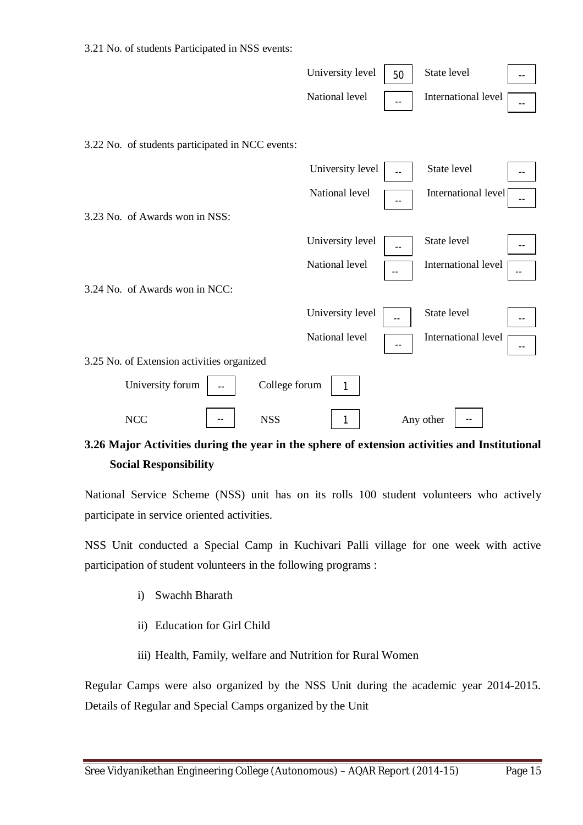| 3.21 No. of students Participated in NSS events: |                  |      |                             |
|--------------------------------------------------|------------------|------|-----------------------------|
|                                                  | University level | 50   | State level<br>$- -$        |
|                                                  | National level   |      | International level         |
|                                                  |                  |      |                             |
| 3.22 No. of students participated in NCC events: |                  |      |                             |
|                                                  | University level |      | State level                 |
|                                                  | National level   |      | International level<br>$-1$ |
| 3.23 No. of Awards won in NSS:                   |                  |      |                             |
|                                                  | University level |      | State level                 |
|                                                  | National level   |      | International level<br>--   |
| 3.24 No. of Awards won in NCC:                   |                  |      |                             |
|                                                  | University level |      | State level                 |
|                                                  | National level   | $-1$ | International level         |
| 3.25 No. of Extension activities organized       |                  |      |                             |
| University forum<br>College forum                | 1                |      |                             |
| <b>NCC</b><br><b>NSS</b>                         | 1                |      | Any other                   |

# **3.26 Major Activities during the year in the sphere of extension activities and Institutional Social Responsibility**

National Service Scheme (NSS) unit has on its rolls 100 student volunteers who actively participate in service oriented activities.

NSS Unit conducted a Special Camp in Kuchivari Palli village for one week with active participation of student volunteers in the following programs :

- i) Swachh Bharath
- ii) Education for Girl Child
- iii) Health, Family, welfare and Nutrition for Rural Women

Regular Camps were also organized by the NSS Unit during the academic year 2014-2015. Details of Regular and Special Camps organized by the Unit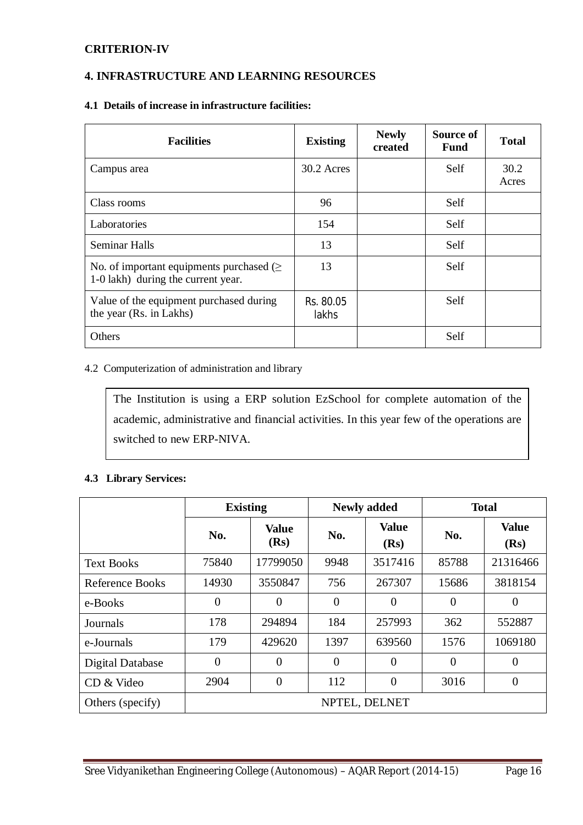# **CRITERION-IV**

# **4. INFRASTRUCTURE AND LEARNING RESOURCES**

## **4.1 Details of increase in infrastructure facilities:**

| <b>Facilities</b>                                                                   | <b>Existing</b>    | <b>Newly</b><br>created | Source of<br><b>Fund</b> | <b>Total</b>  |
|-------------------------------------------------------------------------------------|--------------------|-------------------------|--------------------------|---------------|
| Campus area                                                                         | 30.2 Acres         |                         | Self                     | 30.2<br>Acres |
| Class rooms                                                                         | 96                 |                         | Self                     |               |
| Laboratories                                                                        | 154                |                         | Self                     |               |
| <b>Seminar Halls</b>                                                                | 13                 |                         | Self                     |               |
| No. of important equipments purchased $(\geq$<br>1-0 lakh) during the current year. | 13                 |                         | Self                     |               |
| Value of the equipment purchased during<br>the year (Rs. in Lakhs)                  | Rs. 80.05<br>lakhs |                         | Self                     |               |
| Others                                                                              |                    |                         | Self                     |               |

# 4.2 Computerization of administration and library

The Institution is using a ERP solution EzSchool for complete automation of the academic, administrative and financial activities. In this year few of the operations are switched to new ERP-NIVA.

# **4.3 Library Services:**

|                         | <b>Existing</b> |                      |                | <b>Newly added</b>   | <b>Total</b>   |                      |  |  |  |
|-------------------------|-----------------|----------------------|----------------|----------------------|----------------|----------------------|--|--|--|
|                         | No.             | <b>Value</b><br>(Rs) | No.            | <b>Value</b><br>(Rs) | No.            | <b>Value</b><br>(Rs) |  |  |  |
| <b>Text Books</b>       | 75840           | 17799050             | 9948           | 3517416              | 85788          | 21316466             |  |  |  |
| Reference Books         | 14930           | 3550847              | 756            | 267307               | 15686          | 3818154              |  |  |  |
| e-Books                 | $\overline{0}$  | $\overline{0}$       | $\theta$       | $\theta$             | $\theta$       | $\overline{0}$       |  |  |  |
| Journals                | 178             | 294894               | 184            | 257993               | 362            | 552887               |  |  |  |
| e-Journals              | 179             | 429620               | 1397           | 639560               | 1576           | 1069180              |  |  |  |
| <b>Digital Database</b> | $\overline{0}$  | $\overline{0}$       | $\overline{0}$ | $\overline{0}$       | $\overline{0}$ | $\overline{0}$       |  |  |  |
| CD & Video              | 2904            | $\overline{0}$       | 112            | $\overline{0}$       | 3016           | $\overline{0}$       |  |  |  |
| Others (specify)        |                 | NPTEL, DELNET        |                |                      |                |                      |  |  |  |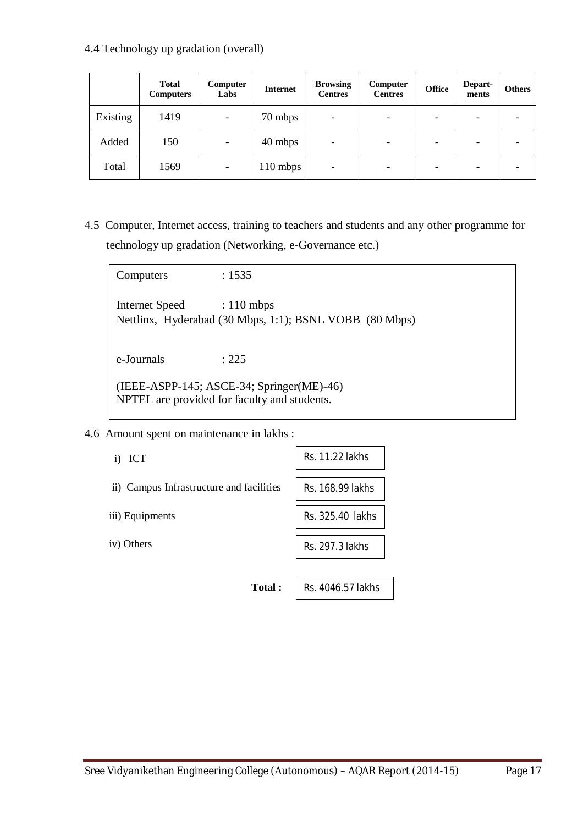4.4 Technology up gradation (overall)

|          | <b>Total</b><br><b>Computers</b> | <b>Computer</b><br>Labs  | <b>Internet</b> | <b>Browsing</b><br><b>Centres</b> | Computer<br><b>Centres</b> | <b>Office</b> | Depart-<br>ments | <b>Others</b> |
|----------|----------------------------------|--------------------------|-----------------|-----------------------------------|----------------------------|---------------|------------------|---------------|
| Existing | 1419                             | $\overline{\phantom{a}}$ | 70 mbps         | $\overline{\phantom{a}}$          | -                          |               |                  |               |
| Added    | 150                              |                          | 40 mbps         |                                   |                            |               |                  |               |
| Total    | 1569                             | $\overline{\phantom{a}}$ | 110 mbps        |                                   | -                          |               |                  |               |

4.5 Computer, Internet access, training to teachers and students and any other programme for technology up gradation (Networking, e-Governance etc.)

Computers : 1535 Internet Speed : 110 mbps Nettlinx, Hyderabad (30 Mbps, 1:1); BSNL VOBB (80 Mbps) e-Journals : 225 (IEEE-ASPP-145; ASCE-34; Springer(ME)-46) NPTEL are provided for faculty and students.

4.6 Amount spent on maintenance in lakhs :

 i) ICT ii) Campus Infrastructure and facilities iii) Equipments iv) Others **Total :**  Rs. 11.22 lakhs Rs. 168.99 lakhs Rs. 325.40 lakhs Rs. 297.3 lakhs Rs. 4046.57 lakhs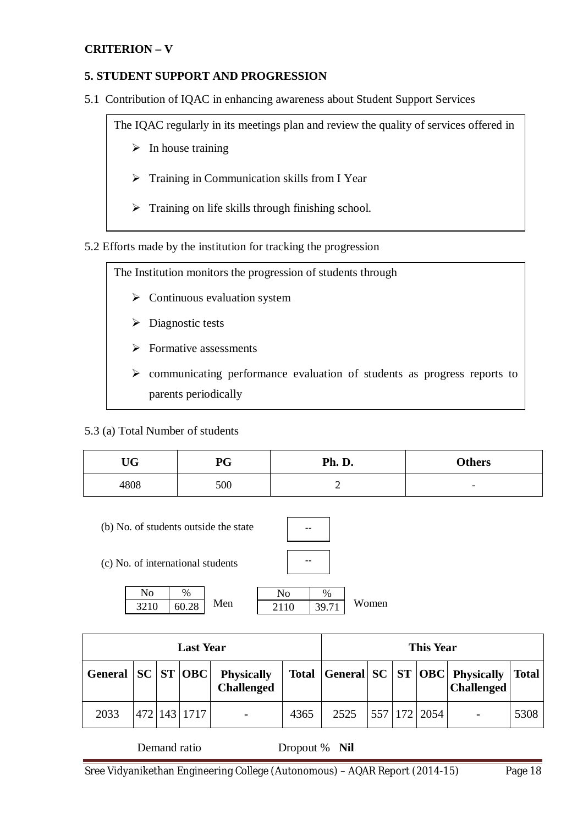# **CRITERION – V**

# **5. STUDENT SUPPORT AND PROGRESSION**

5.1 Contribution of IQAC in enhancing awareness about Student Support Services

The IQAC regularly in its meetings plan and review the quality of services offered in

- $\triangleright$  In house training
- $\triangleright$  Training in Communication skills from I Year
- $\triangleright$  Training on life skills through finishing school.

5.2 Efforts made by the institution for tracking the progression

The Institution monitors the progression of students through

- $\triangleright$  Continuous evaluation system
- $\triangleright$  Diagnostic tests
- $\triangleright$  Formative assessments
- $\triangleright$  communicating performance evaluation of students as progress reports to parents periodically

5.3 (a) Total Number of students

| TTM<br>UU | PG  | Ph. D. | <b>Others</b>            |
|-----------|-----|--------|--------------------------|
| 4808      | 500 | -      | $\overline{\phantom{0}}$ |

- (b) No. of students outside the state
- (c) No. of international students



| $\rm No$ | %                |     | %       |             |
|----------|------------------|-----|---------|-------------|
|          | 28<br>61<br>∪.∠∪ | Men | u<br>ັ້ | W.<br>'omen |

| <b>Last Year</b>        |  |  |              |                                        |              |      | <b>This Year</b> |      |                                                          |              |
|-------------------------|--|--|--------------|----------------------------------------|--------------|------|------------------|------|----------------------------------------------------------|--------------|
| General   SC   ST   OBC |  |  |              | <b>Physically</b><br><b>Challenged</b> | <b>Total</b> |      |                  |      | General  SC   ST   OBC   Physically<br><b>Challenged</b> | <b>Total</b> |
| 2033                    |  |  | 472 143 1717 | $\overline{a}$                         | 4365         | 2525 | $557$ 172        | 2054 |                                                          | 5308         |

| Demand ratio | Dropout % Nil |  |
|--------------|---------------|--|
|--------------|---------------|--|

Sree Vidyanikethan Engineering College (Autonomous) – AQAR Report (2014-15) Page 18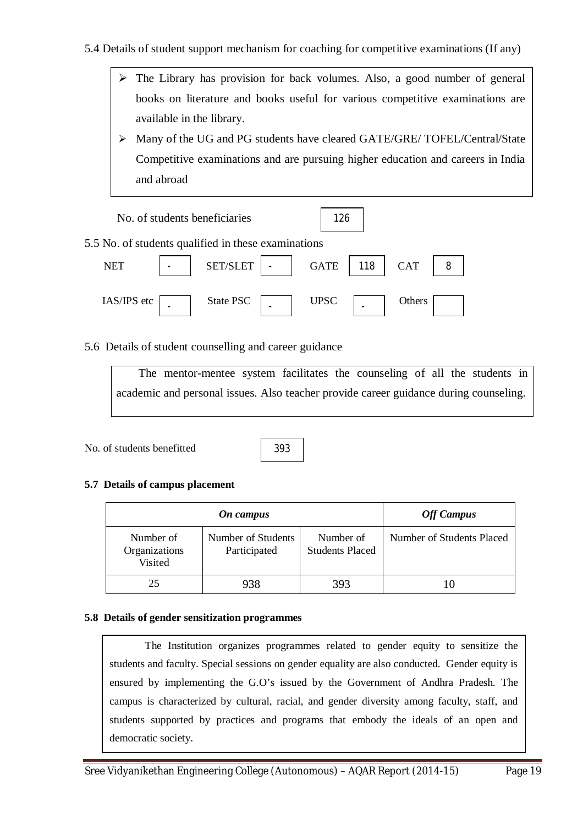- 5.4 Details of student support mechanism for coaching for competitive examinations (If any)
	- $\triangleright$  The Library has provision for back volumes. Also, a good number of general books on literature and books useful for various competitive examinations are available in the library.
	- Many of the UG and PG students have cleared GATE/GRE/ TOFEL/Central/State Competitive examinations and are pursuing higher education and careers in India and abroad

|             | No. of students beneficiaries                       | 126         |                 |                 |
|-------------|-----------------------------------------------------|-------------|-----------------|-----------------|
|             | 5.5 No. of students qualified in these examinations |             |                 |                 |
| <b>NET</b>  | SET/SLET                                            | <b>GATE</b> | $'$ 118 $\vert$ | 8<br><b>CAT</b> |
| IAS/IPS etc | State PSC                                           | <b>UPSC</b> |                 | Others          |

5.6 Details of student counselling and career guidance

The mentor-mentee system facilitates the counseling of all the students in academic and personal issues. Also teacher provide career guidance during counseling.

No. of students benefitted

393

# **5.7 Details of campus placement**

|                                       | On campus                          |                                     | <b>Off Campus</b>         |
|---------------------------------------|------------------------------------|-------------------------------------|---------------------------|
| Number of<br>Organizations<br>Visited | Number of Students<br>Participated | Number of<br><b>Students Placed</b> | Number of Students Placed |
| 25                                    | 938                                | 393                                 |                           |

# **5.8 Details of gender sensitization programmes**

The Institution organizes programmes related to gender equity to sensitize the students and faculty. Special sessions on gender equality are also conducted. Gender equity is ensured by implementing the G.O's issued by the Government of Andhra Pradesh. The campus is characterized by cultural, racial, and gender diversity among faculty, staff, and students supported by practices and programs that embody the ideals of an open and democratic society.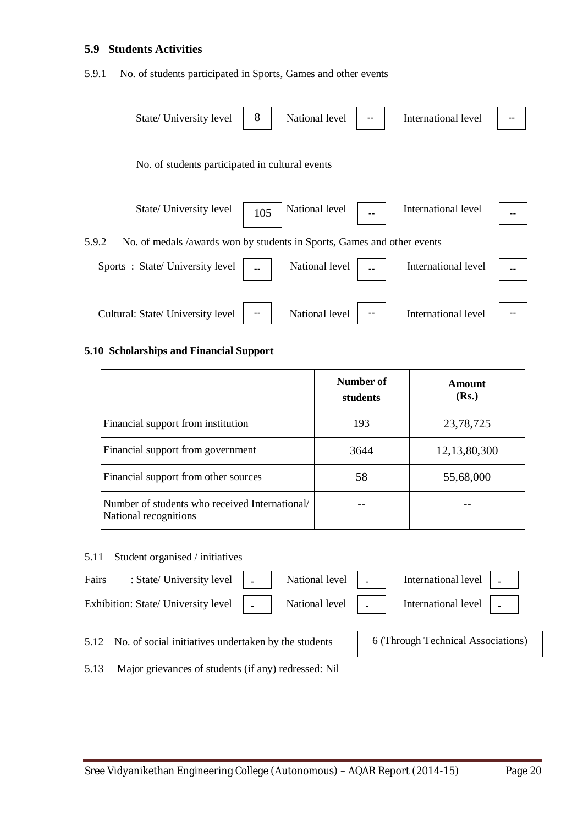# **5.9 Students Activities**

5.9.1 No. of students participated in Sports, Games and other events

| State/ University level                                                          | 8   | National level | International level |  |
|----------------------------------------------------------------------------------|-----|----------------|---------------------|--|
| No. of students participated in cultural events                                  |     |                |                     |  |
| State/ University level                                                          | 105 | National level | International level |  |
| 5.9.2<br>No. of medals /awards won by students in Sports, Games and other events |     |                |                     |  |
| Sports: State/University level                                                   |     | National level | International level |  |
| Cultural: State/ University level                                                |     | National level | International level |  |

# **5.10 Scholarships and Financial Support**

|                                                                        | Number of<br>students | Amount<br>(Rs.) |
|------------------------------------------------------------------------|-----------------------|-----------------|
| Financial support from institution                                     | 193                   | 23,78,725       |
| Financial support from government                                      | 3644                  | 12, 13, 80, 300 |
| Financial support from other sources                                   | 58                    | 55,68,000       |
| Number of students who received International<br>National recognitions |                       |                 |

#### 5.11 Student organised / initiatives



5.12 No. of social initiatives undertaken by the students

5.13 Major grievances of students (if any) redressed: Nil

6 (Through Technical Associations)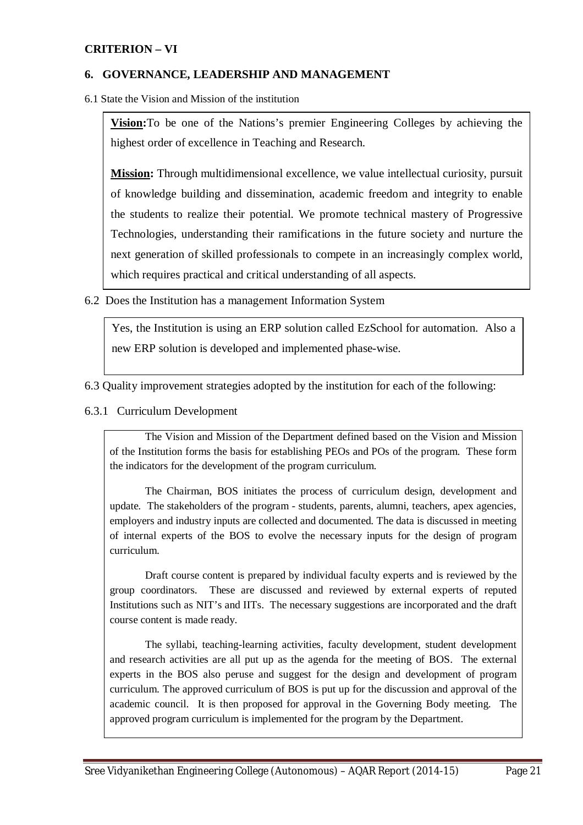# **CRITERION – VI**

# **6. GOVERNANCE, LEADERSHIP AND MANAGEMENT**

6.1 State the Vision and Mission of the institution

**Vision:**To be one of the Nations's premier Engineering Colleges by achieving the highest order of excellence in Teaching and Research.

**Mission:** Through multidimensional excellence, we value intellectual curiosity, pursuit of knowledge building and dissemination, academic freedom and integrity to enable the students to realize their potential. We promote technical mastery of Progressive Technologies, understanding their ramifications in the future society and nurture the next generation of skilled professionals to compete in an increasingly complex world, which requires practical and critical understanding of all aspects.

6.2 Does the Institution has a management Information System

Yes, the Institution is using an ERP solution called EzSchool for automation. Also a new ERP solution is developed and implemented phase-wise.

6.3 Quality improvement strategies adopted by the institution for each of the following:

6.3.1 Curriculum Development

The Vision and Mission of the Department defined based on the Vision and Mission of the Institution forms the basis for establishing PEOs and POs of the program. These form the indicators for the development of the program curriculum.

The Chairman, BOS initiates the process of curriculum design, development and update. The stakeholders of the program - students, parents, alumni, teachers, apex agencies, employers and industry inputs are collected and documented. The data is discussed in meeting of internal experts of the BOS to evolve the necessary inputs for the design of program curriculum.

Draft course content is prepared by individual faculty experts and is reviewed by the group coordinators. These are discussed and reviewed by external experts of reputed Institutions such as NIT's and IITs. The necessary suggestions are incorporated and the draft course content is made ready.

The syllabi, teaching-learning activities, faculty development, student development and research activities are all put up as the agenda for the meeting of BOS. The external experts in the BOS also peruse and suggest for the design and development of program curriculum. The approved curriculum of BOS is put up for the discussion and approval of the academic council. It is then proposed for approval in the Governing Body meeting. The approved program curriculum is implemented for the program by the Department.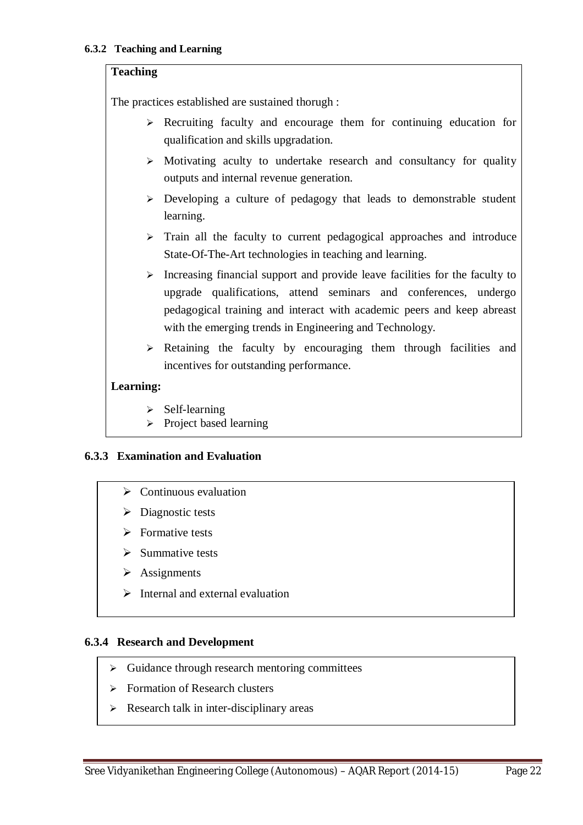# **Teaching**

The practices established are sustained thorugh :

- Recruiting faculty and encourage them for continuing education for qualification and skills upgradation.
- $\triangleright$  Motivating aculty to undertake research and consultancy for quality outputs and internal revenue generation.
- Developing a culture of pedagogy that leads to demonstrable student learning.
- $\triangleright$  Train all the faculty to current pedagogical approaches and introduce State-Of-The-Art technologies in teaching and learning.
- $\triangleright$  Increasing financial support and provide leave facilities for the faculty to upgrade qualifications, attend seminars and conferences, undergo pedagogical training and interact with academic peers and keep abreast with the emerging trends in Engineering and Technology.
- $\triangleright$  Retaining the faculty by encouraging them through facilities and incentives for outstanding performance.

# **Learning:**

- $\triangleright$  Self-learning
- $\triangleright$  Project based learning

# **6.3.3 Examination and Evaluation**

- $\triangleright$  Continuous evaluation
- $\triangleright$  Diagnostic tests
- $\triangleright$  Formative tests
- $\triangleright$  Summative tests
- $\triangleright$  Assignments
- $\triangleright$  Internal and external evaluation

# **6.3.4 Research and Development**

- $\triangleright$  Guidance through research mentoring committees
- **Formation of Research clusters**
- $\triangleright$  Research talk in inter-disciplinary areas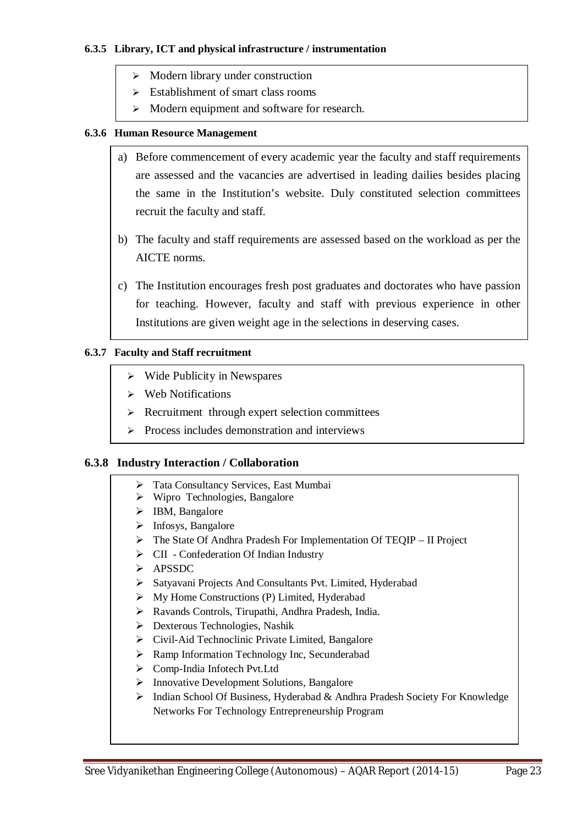# **6.3.5 Library, ICT and physical infrastructure / instrumentation**

- $\triangleright$  Modern library under construction
- $\triangleright$  Establishment of smart class rooms
- > Modern equipment and software for research.

# **6.3.6 Human Resource Management**

- a) Before commencement of every academic year the faculty and staff requirements are assessed and the vacancies are advertised in leading dailies besides placing the same in the Institution's website. Duly constituted selection committees recruit the faculty and staff.
- b) The faculty and staff requirements are assessed based on the workload as per the AICTE norms.
- c) The Institution encourages fresh post graduates and doctorates who have passion for teaching. However, faculty and staff with previous experience in other Institutions are given weight age in the selections in deserving cases.

# **6.3.7 Faculty and Staff recruitment**

- $\triangleright$  Wide Publicity in Newspares
- $\triangleright$  Web Notifications
- $\triangleright$  Recruitment through expert selection committees
- $\triangleright$  Process includes demonstration and interviews

# **6.3.8 Industry Interaction / Collaboration**

- Tata Consultancy Services, East Mumbai
- Wipro Technologies, Bangalore
- > IBM, Bangalore
- $\triangleright$  Infosys, Bangalore
- The State Of Andhra Pradesh For Implementation Of TEQIP II Project
- CII Confederation Of Indian Industry
- $\triangleright$  APSSDC
- Satyavani Projects And Consultants Pvt. Limited, Hyderabad
- $\triangleright$  My Home Constructions (P) Limited, Hyderabad
- Ravands Controls, Tirupathi, Andhra Pradesh, India.
- Dexterous Technologies, Nashik
- $\triangleright$  Civil-Aid Technoclinic Private Limited, Bangalore
- Ramp Information Technology Inc, Secunderabad
- Comp-India Infotech Pvt.Ltd
- $\triangleright$  Innovative Development Solutions, Bangalore
- $\triangleright$  Indian School Of Business, Hyderabad & Andhra Pradesh Society For Knowledge Networks For Technology Entrepreneurship Program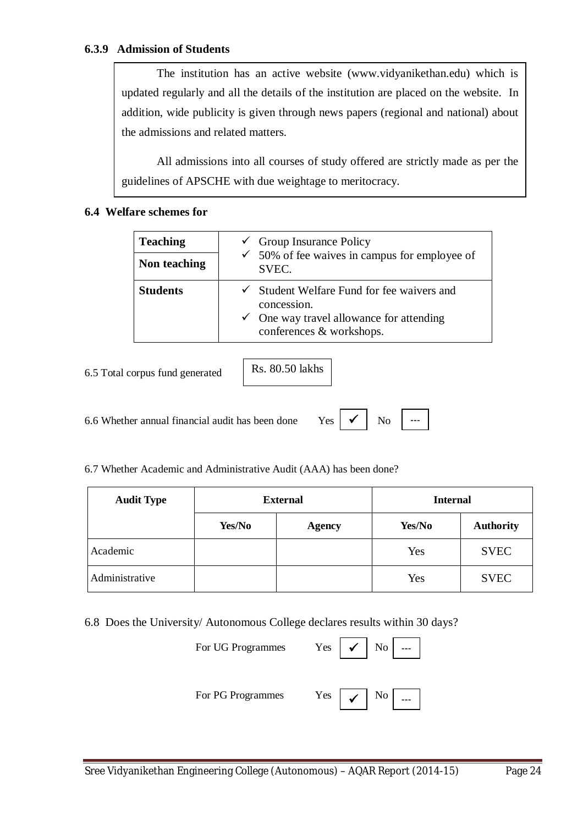# **6.3.9 Admission of Students**

The institution has an active website (www.vidyanikethan.edu) which is updated regularly and all the details of the institution are placed on the website. In addition, wide publicity is given through news papers (regional and national) about the admissions and related matters.

All admissions into all courses of study offered are strictly made as per the guidelines of APSCHE with due weightage to meritocracy.

# **6.4 Welfare schemes for**

| <b>Teaching</b> | $\checkmark$ Group Insurance Policy                                                                                                                     |
|-----------------|---------------------------------------------------------------------------------------------------------------------------------------------------------|
| Non teaching    | $\checkmark$ 50% of fee waives in campus for employee of<br>SVEC.                                                                                       |
| <b>Students</b> | $\checkmark$ Student Welfare Fund for fee waivers and<br>concession.<br>$\checkmark$ One way travel allowance for attending<br>conferences & workshops. |

6.5 Total corpus fund generated

Rs. 80.50 lakhs

6.6 Whether annual financial audit has been done Yes

6.7 Whether Academic and Administrative Audit (AAA) has been done?

| <b>Audit Type</b> | <b>External</b> |               | <b>Internal</b> |                  |
|-------------------|-----------------|---------------|-----------------|------------------|
|                   | Yes/No          | <b>Agency</b> | Yes/No          | <b>Authority</b> |
| Academic          |                 |               | Yes             | <b>SVEC</b>      |
| Administrative    |                 |               | Yes             | <b>SVEC</b>      |

 $N<sub>0</sub>$ 

6.8 Does the University/ Autonomous College declares results within 30 days?

| For UG Programmes | Yes $\vert \checkmark \vert$ No $\vert$ |
|-------------------|-----------------------------------------|
| For PG Programmes | Yes $\vert \checkmark \vert$<br>No      |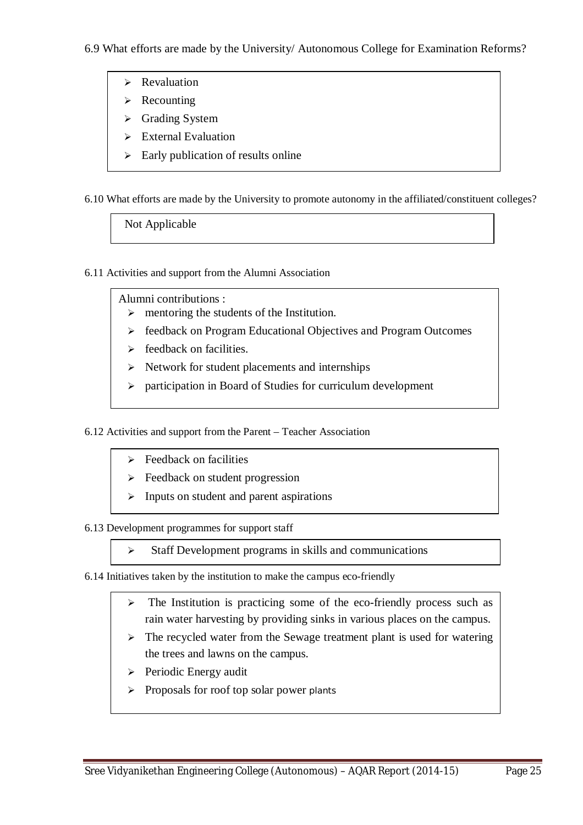- $\triangleright$  Revaluation
- $\triangleright$  Recounting
- > Grading System
- $\triangleright$  External Evaluation
- $\triangleright$  Early publication of results online

6.10 What efforts are made by the University to promote autonomy in the affiliated/constituent colleges?

Not Applicable

6.11 Activities and support from the Alumni Association

Alumni contributions :

- $\triangleright$  mentoring the students of the Institution.
- $\triangleright$  feedback on Program Educational Objectives and Program Outcomes
- $\geq$  feedback on facilities.
- $\triangleright$  Network for student placements and internships
- $\triangleright$  participation in Board of Studies for curriculum development

6.12 Activities and support from the Parent – Teacher Association

- $\triangleright$  Feedback on facilities
- $\triangleright$  Feedback on student progression
- $\triangleright$  Inputs on student and parent aspirations

6.13 Development programmes for support staff

- $\triangleright$  Staff Development programs in skills and communications
- 6.14 Initiatives taken by the institution to make the campus eco-friendly
	- $\triangleright$  The Institution is practicing some of the eco-friendly process such as rain water harvesting by providing sinks in various places on the campus.
	- $\triangleright$  The recycled water from the Sewage treatment plant is used for watering the trees and lawns on the campus.
	- $\triangleright$  Periodic Energy audit
	- $\triangleright$  Proposals for roof top solar power plants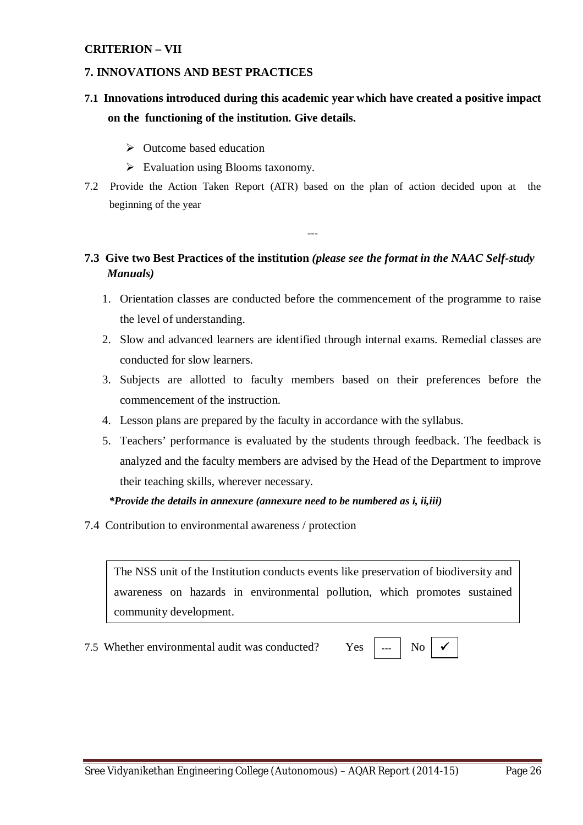# **CRITERION – VII**

# **7. INNOVATIONS AND BEST PRACTICES**

# **7.1 Innovations introduced during this academic year which have created a positive impact on the functioning of the institution. Give details.**

- $\triangleright$  Outcome based education
- $\triangleright$  Evaluation using Blooms taxonomy.
- 7.2 Provide the Action Taken Report (ATR) based on the plan of action decided upon at the beginning of the year

# **7.3 Give two Best Practices of the institution** *(please see the format in the NAAC Self-study Manuals)*

---

- 1. Orientation classes are conducted before the commencement of the programme to raise the level of understanding.
- 2. Slow and advanced learners are identified through internal exams. Remedial classes are conducted for slow learners.
- 3. Subjects are allotted to faculty members based on their preferences before the commencement of the instruction.
- 4. Lesson plans are prepared by the faculty in accordance with the syllabus.
- 5. Teachers' performance is evaluated by the students through feedback. The feedback is analyzed and the faculty members are advised by the Head of the Department to improve their teaching skills, wherever necessary.

# *\*Provide the details in annexure (annexure need to be numbered as i, ii,iii)*

7.4 Contribution to environmental awareness / protection

The NSS unit of the Institution conducts events like preservation of biodiversity and awareness on hazards in environmental pollution, which promotes sustained community development.

 $\mid$  No  $\mid \checkmark$ 

7.5 Whether environmental audit was conducted?  $Yes$   $\Box$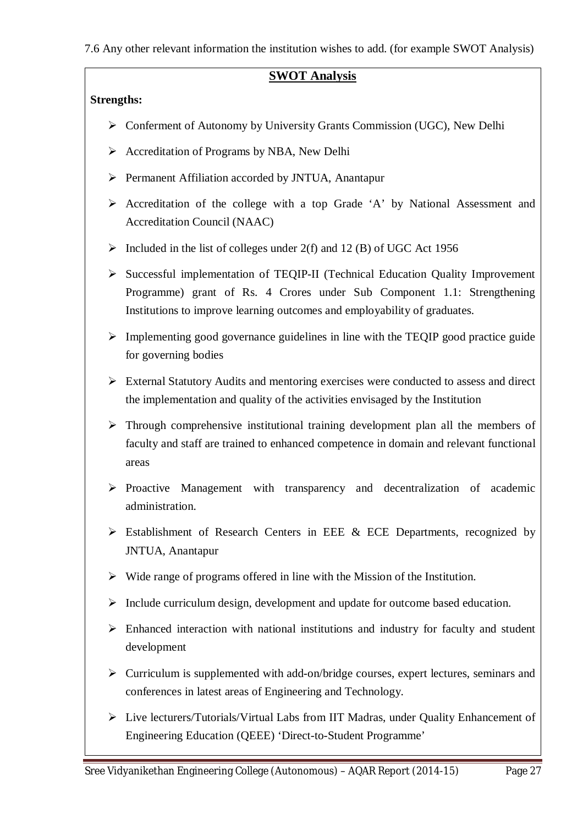7.6 Any other relevant information the institution wishes to add. (for example SWOT Analysis)

# **SWOT Analysis**

# **Strengths:**

- Conferment of Autonomy by University Grants Commission (UGC), New Delhi
- $\triangleright$  Accreditation of Programs by NBA, New Delhi
- Permanent Affiliation accorded by JNTUA, Anantapur
- $\triangleright$  Accreditation of the college with a top Grade 'A' by National Assessment and Accreditation Council (NAAC)
- $\triangleright$  Included in the list of colleges under 2(f) and 12 (B) of UGC Act 1956
- Successful implementation of TEQIP-II (Technical Education Quality Improvement Programme) grant of Rs. 4 Crores under Sub Component 1.1: Strengthening Institutions to improve learning outcomes and employability of graduates.
- $\triangleright$  Implementing good governance guidelines in line with the TEQIP good practice guide for governing bodies
- External Statutory Audits and mentoring exercises were conducted to assess and direct the implementation and quality of the activities envisaged by the Institution
- $\triangleright$  Through comprehensive institutional training development plan all the members of faculty and staff are trained to enhanced competence in domain and relevant functional areas
- $\triangleright$  Proactive Management with transparency and decentralization of academic administration.
- $\triangleright$  Establishment of Research Centers in EEE & ECE Departments, recognized by JNTUA, Anantapur
- $\triangleright$  Wide range of programs offered in line with the Mission of the Institution.
- $\triangleright$  Include curriculum design, development and update for outcome based education.
- $\triangleright$  Enhanced interaction with national institutions and industry for faculty and student development
- $\triangleright$  Curriculum is supplemented with add-on/bridge courses, expert lectures, seminars and conferences in latest areas of Engineering and Technology.
- Live lecturers/Tutorials/Virtual Labs from IIT Madras, under Quality Enhancement of Engineering Education (QEEE) 'Direct-to-Student Programme'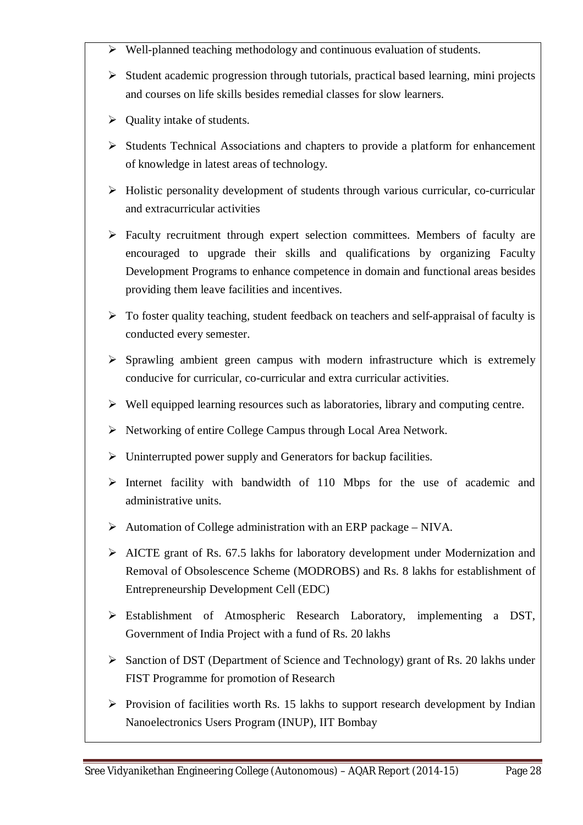- $\triangleright$  Well-planned teaching methodology and continuous evaluation of students.
- $\triangleright$  Student academic progression through tutorials, practical based learning, mini projects and courses on life skills besides remedial classes for slow learners.
- $\triangleright$  Quality intake of students.
- $\triangleright$  Students Technical Associations and chapters to provide a platform for enhancement of knowledge in latest areas of technology.
- $\triangleright$  Holistic personality development of students through various curricular, co-curricular and extracurricular activities
- $\triangleright$  Faculty recruitment through expert selection committees. Members of faculty are encouraged to upgrade their skills and qualifications by organizing Faculty Development Programs to enhance competence in domain and functional areas besides providing them leave facilities and incentives.
- $\triangleright$  To foster quality teaching, student feedback on teachers and self-appraisal of faculty is conducted every semester.
- $\triangleright$  Sprawling ambient green campus with modern infrastructure which is extremely conducive for curricular, co-curricular and extra curricular activities.
- $\triangleright$  Well equipped learning resources such as laboratories, library and computing centre.
- $\triangleright$  Networking of entire College Campus through Local Area Network.
- $\triangleright$  Uninterrupted power supply and Generators for backup facilities.
- $\triangleright$  Internet facility with bandwidth of 110 Mbps for the use of academic and administrative units.
- $\triangleright$  Automation of College administration with an ERP package NIVA.
- AICTE grant of Rs. 67.5 lakhs for laboratory development under Modernization and Removal of Obsolescence Scheme (MODROBS) and Rs. 8 lakhs for establishment of Entrepreneurship Development Cell (EDC)
- Establishment of Atmospheric Research Laboratory, implementing a DST, Government of India Project with a fund of Rs. 20 lakhs
- $\triangleright$  Sanction of DST (Department of Science and Technology) grant of Rs. 20 lakhs under FIST Programme for promotion of Research
- $\triangleright$  Provision of facilities worth Rs. 15 lakhs to support research development by Indian Nanoelectronics Users Program (INUP), IIT Bombay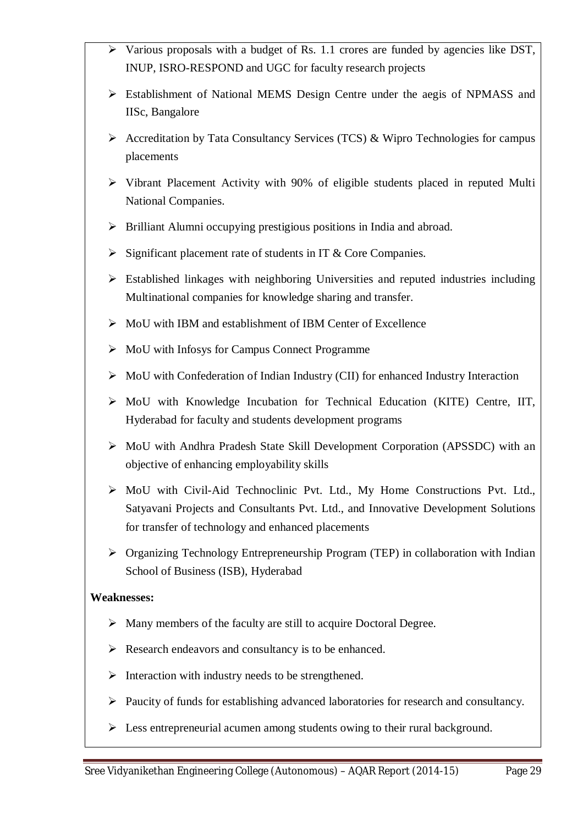|                       | Various proposals with a budget of Rs. 1.1 crores are funded by agencies like DST,<br>INUP, ISRO-RESPOND and UGC for faculty research projects                                                                          |
|-----------------------|-------------------------------------------------------------------------------------------------------------------------------------------------------------------------------------------------------------------------|
| ➤                     | Establishment of National MEMS Design Centre under the aegis of NPMASS and<br>IISc, Bangalore                                                                                                                           |
| ➤                     | Accreditation by Tata Consultancy Services (TCS) & Wipro Technologies for campus<br>placements                                                                                                                          |
| ➤                     | Vibrant Placement Activity with 90% of eligible students placed in reputed Multi<br>National Companies.                                                                                                                 |
| ➤                     | Brilliant Alumni occupying prestigious positions in India and abroad.                                                                                                                                                   |
| ➤                     | Significant placement rate of students in IT & Core Companies.                                                                                                                                                          |
|                       | Established linkages with neighboring Universities and reputed industries including<br>Multinational companies for knowledge sharing and transfer.                                                                      |
| ➤                     | MoU with IBM and establishment of IBM Center of Excellence                                                                                                                                                              |
| ➤                     | MoU with Infosys for Campus Connect Programme                                                                                                                                                                           |
| ➤                     | MoU with Confederation of Indian Industry (CII) for enhanced Industry Interaction                                                                                                                                       |
| $\blacktriangleright$ | MoU with Knowledge Incubation for Technical Education (KITE) Centre, IIT,<br>Hyderabad for faculty and students development programs                                                                                    |
| ➤                     | MoU with Andhra Pradesh State Skill Development Corporation (APSSDC) with an<br>objective of enhancing employability skills                                                                                             |
|                       | MoU with Civil-Aid Technoclinic Pvt. Ltd., My Home Constructions Pvt. Ltd.,<br>Satyavani Projects and Consultants Pvt. Ltd., and Innovative Development Solutions<br>for transfer of technology and enhanced placements |
| ➤                     | Organizing Technology Entrepreneurship Program (TEP) in collaboration with Indian<br>School of Business (ISB), Hyderabad                                                                                                |
|                       | <b>Weaknesses:</b>                                                                                                                                                                                                      |
| ➤                     | Many members of the faculty are still to acquire Doctoral Degree.                                                                                                                                                       |
| ➤                     | Research endeavors and consultancy is to be enhanced.                                                                                                                                                                   |
| ➤                     | Interaction with industry needs to be strengthened.                                                                                                                                                                     |
|                       | Paucity of funds for establishing advanced laboratories for research and consultancy.                                                                                                                                   |

> Less entrepreneurial acumen among students owing to their rural background.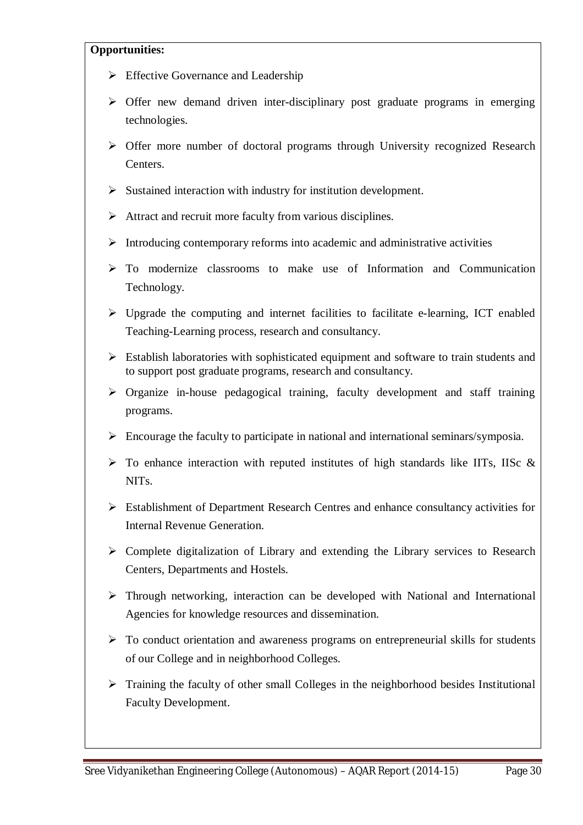# **Opportunities:**

- **Effective Governance and Leadership**
- $\triangleright$  Offer new demand driven inter-disciplinary post graduate programs in emerging technologies.
- $\triangleright$  Offer more number of doctoral programs through University recognized Research Centers.
- $\triangleright$  Sustained interaction with industry for institution development.
- $\triangleright$  Attract and recruit more faculty from various disciplines.
- $\triangleright$  Introducing contemporary reforms into academic and administrative activities
- $\triangleright$  To modernize classrooms to make use of Information and Communication Technology.
- $\triangleright$  Upgrade the computing and internet facilities to facilitate e-learning, ICT enabled Teaching-Learning process, research and consultancy.
- $\triangleright$  Establish laboratories with sophisticated equipment and software to train students and to support post graduate programs, research and consultancy.
- $\triangleright$  Organize in-house pedagogical training, faculty development and staff training programs.
- $\triangleright$  Encourage the faculty to participate in national and international seminars/symposia.
- $\triangleright$  To enhance interaction with reputed institutes of high standards like IITs, IISc & NITs.
- Establishment of Department Research Centres and enhance consultancy activities for Internal Revenue Generation.
- $\triangleright$  Complete digitalization of Library and extending the Library services to Research Centers, Departments and Hostels.
- $\triangleright$  Through networking, interaction can be developed with National and International Agencies for knowledge resources and dissemination.
- $\triangleright$  To conduct orientation and awareness programs on entrepreneurial skills for students of our College and in neighborhood Colleges.
- $\triangleright$  Training the faculty of other small Colleges in the neighborhood besides Institutional Faculty Development.